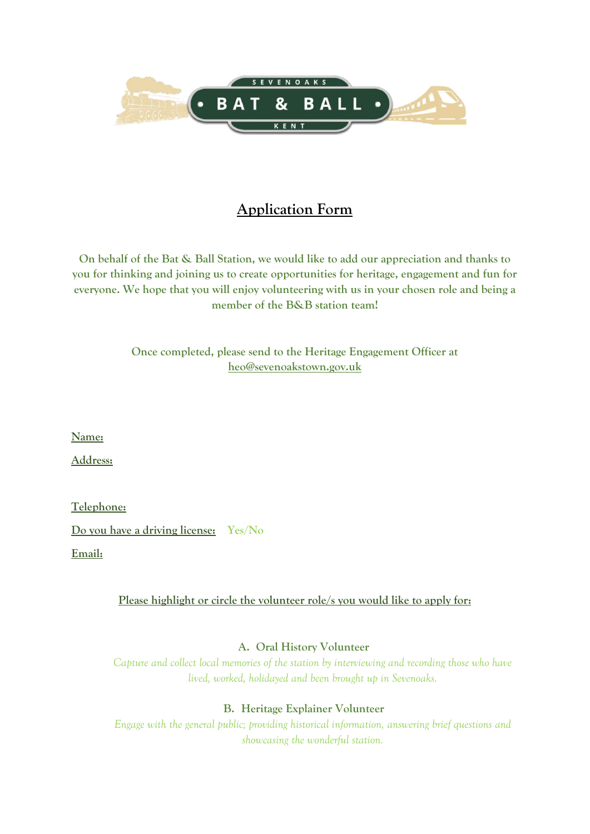

# **Application Form**

**On behalf of the Bat & Ball Station, we would like to add our appreciation and thanks to you for thinking and joining us to create opportunities for heritage, engagement and fun for everyone. We hope that you will enjoy volunteering with us in your chosen role and being a member of the B&B station team!**

> **Once completed, please send to the Heritage Engagement Officer at [heo@sevenoakstown.gov.uk](mailto:heo@sevenoakstown.gov.uk)**

**Name:**

**Address:**

**Telephone: Do you have a driving license: Yes/No Email:**

### **Please highlight or circle the volunteer role/s you would like to apply for:**

### **A. Oral History Volunteer**

*Capture and collect local memories of the station by interviewing and recording those who have lived, worked, holidayed and been brought up in Sevenoaks.*

### **B. Heritage Explainer Volunteer**

*Engage with the general public; providing historical information, answering brief questions and showcasing the wonderful station.*